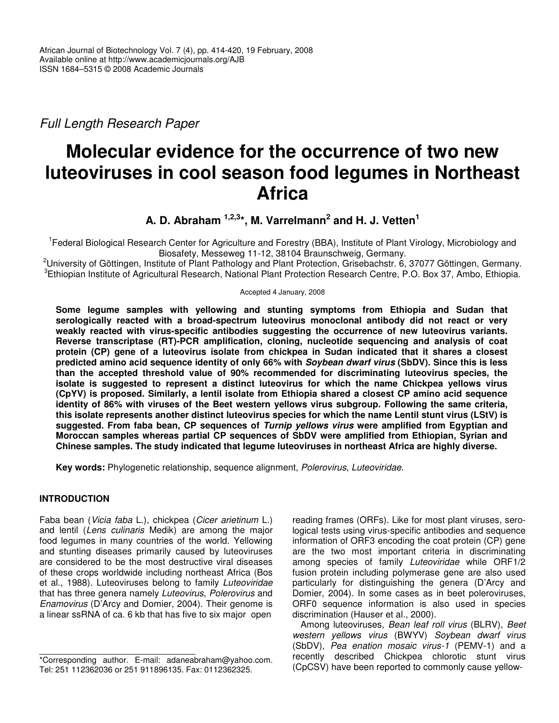*Full Length Research Paper*

# **Molecular evidence for the occurrence of two new luteoviruses in cool season food legumes in Northeast Africa**

**A. D. Abraham 1,2,3 \*, M. Varrelmann 2 and H. J. Vetten 1**

<sup>1</sup> Federal Biological Research Center for Agriculture and Forestry (BBA), Institute of Plant Virology, Microbiology and Biosafety, Messeweg 11-12, 38104 Braunschweig, Germany.

<sup>2</sup>University of Göttingen, Institute of Plant Pathology and Plant Protection, Grisebachstr. 6, 37077 Göttingen, Germany. 3 Ethiopian Institute of Agricultural Research, National Plant Protection Research Centre, P.O. Box 37, Ambo, Ethiopia.

Accepted 4 January, 2008

**Some legume samples with yellowing and stunting symptoms from Ethiopia and Sudan that serologically reacted with a broad-spectrum luteovirus monoclonal antibody did not react or very weakly reacted with virus-specific antibodies suggesting the occurrence of new luteovirus variants. Reverse transcriptase (RT)-PCR amplification, cloning, nucleotide sequencing and analysis of coat protein (CP) gene of a luteovirus isolate from chickpea in Sudan indicated that it shares a closest predicted amino acid sequence identity of only 66% with** *Soybean dwarf virus* **(SbDV). Since this is less than the accepted threshold value of 90% recommended for discriminating luteovirus species, the isolate is suggested to represent a distinct luteovirus for which the name Chickpea yellows virus (CpYV) is proposed. Similarly, a lentil isolate from Ethiopia shared a closest CP amino acid sequence identity of 86% with viruses of the Beet western yellows virus subgroup. Following the same criteria, this isolate represents another distinct luteovirus species for which the name Lentil stunt virus (LStV) is suggested. From faba bean, CP sequences of** *Turnip yellows virus* **were amplified from Egyptian and Moroccan samples whereas partial CP sequences of SbDV were amplified from Ethiopian, Syrian and Chinese samples. The study indicated that legume luteoviruses in northeast Africa are highly diverse.**

**Key words:** Phylogenetic relationship, sequence alignment, *Polerovirus*, *Luteoviridae.*

## **INTRODUCTION**

Faba bean (*Vicia faba* L.), chickpea (*Cicer arietinum* L.) and lentil (*Lens culinaris* Medik) are among the major food legumes in many countries of the world. Yellowing and stunting diseases primarily caused by luteoviruses are considered to be the most destructive viral diseases of these crops worldwide including northeast Africa (Bos et al., 1988). Luteoviruses belong to family *Luteoviridae* that has three genera namely *Luteovirus*, *Polerovirus* and *Enamovirus* (D'Arcy and Domier, 2004). Their genome is a linear ssRNA of ca. 6 kb that has five to six major open

reading frames (ORFs). Like for most plant viruses, serological tests using virus-specific antibodies and sequence information of ORF3 encoding the coat protein (CP) gene are the two most important criteria in discriminating among species of family *Luteoviridae* while ORF1/2 fusion protein including polymerase gene are also used particularly for distinguishing the genera (D'Arcy and Domier, 2004). In some cases as in beet poleroviruses, ORF0 sequence information is also used in species discrimination (Hauser et al., 2000).

Among luteoviruses, *Bean leaf roll virus* (BLRV), *Beet western yellows virus* (BWYV) *Soybean dwarf virus* (SbDV), *Pea enation mosaic virus-1* (PEMV-1) and a recently described Chickpea chlorotic stunt virus (CpCSV) have been reported to commonly cause yellow-

<sup>\*</sup>Corresponding author. E-mail: adaneabraham@yahoo.com. Tel: 251 112362036 or 251 911896135. Fax: 0112362325.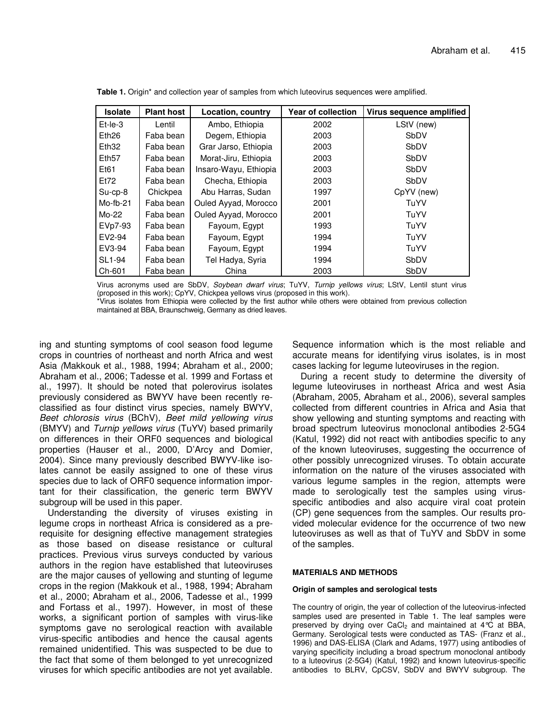| <b>Isolate</b>    | <b>Plant host</b> | Location, country     | <b>Year of collection</b> | Virus sequence amplified |
|-------------------|-------------------|-----------------------|---------------------------|--------------------------|
| $Et-Ie-3$         | Lentil            | Ambo, Ethiopia        | 2002                      | LStV (new)               |
| Eth <sub>26</sub> | Faba bean         | Degem, Ethiopia       | 2003                      | SbDV                     |
| Eth <sub>32</sub> | Faba bean         | Grar Jarso, Ethiopia  | 2003                      | SbDV                     |
| Eth <sub>57</sub> | Faba bean         | Morat-Jiru, Ethiopia  | 2003                      | SbDV                     |
| Et61              | Faba bean         | Insaro-Wayu, Ethiopia | 2003                      | SbDV                     |
| Et72              | Faba bean         | Checha, Ethiopia      | 2003                      | <b>SbDV</b>              |
| $Su$ -cp-8        | Chickpea          | Abu Harras, Sudan     | 1997                      | CpYV (new)               |
| $Mo-fb-21$        | Faba bean         | Ouled Ayyad, Morocco  | 2001                      | TuYV                     |
| Mo-22             | Faba bean         | Ouled Ayyad, Morocco  | 2001                      | TuYV                     |
| EVp7-93           | Faba bean         | Fayoum, Egypt         | 1993                      | TuYV                     |
| EV2-94            | Faba bean         | Fayoum, Egypt         | 1994                      | TuYV                     |
| EV3-94            | Faba bean         | Fayoum, Egypt         | 1994                      | TuYV                     |
| SL1-94            | Faba bean         | Tel Hadya, Syria      | 1994                      | SbDV                     |
| Ch-601            | Faba bean         | China                 | 2003                      | SbDV                     |

**Table 1.** Origin\* and collection year of samples from which luteovirus sequences were amplified.

Virus acronyms used are SbDV, *Soybean dwarf virus*; TuYV, *Turnip yellows virus*; LStV, Lentil stunt virus (proposed in this work); CpYV, Chickpea yellows virus (proposed in this work).

\*Virus isolates from Ethiopia were collected by the first author while others were obtained from previous collection maintained at BBA, Braunschweig, Germany as dried leaves.

ing and stunting symptoms of cool season food legume crops in countries of northeast and north Africa and west Asia *(*Makkouk et al., 1988, 1994; Abraham et al., 2000; Abraham et al., 2006; Tadesse et al. 1999 and Fortass et al., 1997). It should be noted that polerovirus isolates previously considered as BWYV have been recently reclassified as four distinct virus species, namely BWYV, *Beet chlorosis virus* (BChV), *Beet mild yellowing virus* (BMYV) and *Turnip yellows virus* (TuYV) based primarily on differences in their ORF0 sequences and biological properties (Hauser et al., 2000, D'Arcy and Domier, 2004). Since many previously described BWYV-like isolates cannot be easily assigned to one of these virus species due to lack of ORF0 sequence information important for their classification, the generic term BWYV subgroup will be used in this paper.

Understanding the diversity of viruses existing in legume crops in northeast Africa is considered as a prerequisite for designing effective management strategies as those based on disease resistance or cultural practices. Previous virus surveys conducted by various authors in the region have established that luteoviruses are the major causes of yellowing and stunting of legume crops in the region (Makkouk et al., 1988, 1994; Abraham et al., 2000; Abraham et al., 2006, Tadesse et al., 1999 and Fortass et al., 1997). However, in most of these works, a significant portion of samples with virus-like symptoms gave no serological reaction with available virus-specific antibodies and hence the causal agents remained unidentified. This was suspected to be due to the fact that some of them belonged to yet unrecognized viruses for which specific antibodies are not yet available. Sequence information which is the most reliable and accurate means for identifying virus isolates, is in most cases lacking for legume luteoviruses in the region.

During a recent study to determine the diversity of legume luteoviruses in northeast Africa and west Asia (Abraham, 2005, Abraham et al., 2006), several samples collected from different countries in Africa and Asia that show yellowing and stunting symptoms and reacting with broad spectrum luteovirus monoclonal antibodies 2-5G4 (Katul, 1992) did not react with antibodies specific to any of the known luteoviruses, suggesting the occurrence of other possibly unrecognized viruses. To obtain accurate information on the nature of the viruses associated with various legume samples in the region, attempts were made to serologically test the samples using virusspecific antibodies and also acquire viral coat protein (CP) gene sequences from the samples. Our results provided molecular evidence for the occurrence of two new luteoviruses as well as that of TuYV and SbDV in some of the samples.

## **MATERIALS AND METHODS**

#### **Origin of samples and serological tests**

The country of origin, the year of collection of the luteovirus-infected samples used are presented in Table 1. The leaf samples were preserved by drying over  $CaCl<sub>2</sub>$  and maintained at 4°C at BBA, Germany. Serological tests were conducted as TAS- (Franz et al., 1996) and DAS-ELISA (Clark and Adams, 1977) using antibodies of varying specificity including a broad spectrum monoclonal antibody to a luteovirus (2-5G4) (Katul, 1992) and known luteovirus-specific antibodies to BLRV, CpCSV, SbDV and BWYV subgroup. The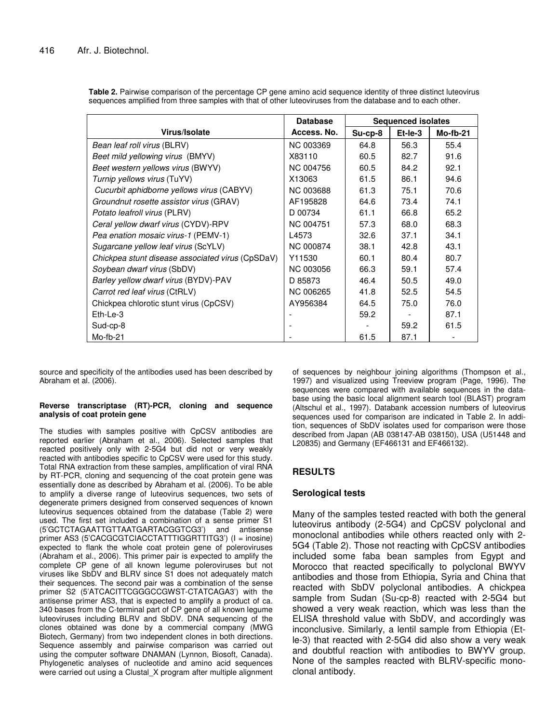|                                                  | <b>Database</b>  | <b>Sequenced isolates</b> |         |            |
|--------------------------------------------------|------------------|---------------------------|---------|------------|
| Virus/Isolate                                    | Access. No.      | $Su$ -cp-8                | Et-le-3 | $Mo-fb-21$ |
| Bean leaf roll virus (BLRV)                      | <b>NC 003369</b> | 64.8                      | 56.3    | 55.4       |
| Beet mild yellowing virus (BMYV)                 | X83110           | 60.5                      | 82.7    | 91.6       |
| Beet western yellows virus (BWYV)                | <b>NC 004756</b> | 60.5                      | 84.2    | 92.1       |
| Turnip yellows virus (TuYV)                      | X13063           | 61.5                      | 86.1    | 94.6       |
| Cucurbit aphidborne yellows virus (CABYV)        | <b>NC 003688</b> | 61.3                      | 75.1    | 70.6       |
| Groundnut rosette assistor virus (GRAV)          | AF195828         | 64.6                      | 73.4    | 74.1       |
| Potato leafroll virus (PLRV)                     | D 00734          | 61.1                      | 66.8    | 65.2       |
| Ceral yellow dwarf virus (CYDV)-RPV              | <b>NC 004751</b> | 57.3                      | 68.0    | 68.3       |
| Pea enation mosaic virus-1 (PEMV-1)              | L4573            | 32.6                      | 37.1    | 34.1       |
| Sugarcane yellow leaf virus (ScYLV)              | <b>NC 000874</b> | 38.1                      | 42.8    | 43.1       |
| Chickpea stunt disease associated virus (CpSDaV) | Y11530           | 60.1                      | 80.4    | 80.7       |
| Soybean dwarf virus (SbDV)                       | <b>NC 003056</b> | 66.3                      | 59.1    | 57.4       |
| Barley yellow dwarf virus (BYDV)-PAV             | D 85873          | 46.4                      | 50.5    | 49.0       |
| Carrot red leaf virus (CtRLV)                    | NC 006265        | 41.8                      | 52.5    | 54.5       |
| Chickpea chlorotic stunt virus (CpCSV)           | AY956384         | 64.5                      | 75.0    | 76.0       |
| Eth-Le-3                                         |                  | 59.2                      |         | 87.1       |
| Sud-cp-8                                         |                  |                           | 59.2    | 61.5       |
| Mo-fb-21                                         |                  | 61.5                      | 87.1    |            |

**Table 2.** Pairwise comparison of the percentage CP gene amino acid sequence identity of three distinct luteovirus sequences amplified from three samples with that of other luteoviruses from the database and to each other.

source and specificity of the antibodies used has been described by Abraham et al. (2006).

#### **Reverse transcriptase (RT)-PCR, cloning and sequence analysis of coat protein gene**

The studies with samples positive with CpCSV antibodies are reported earlier (Abraham et al., 2006). Selected samples that reacted positively only with 2-5G4 but did not or very weakly reacted with antibodies specific to CpCSV were used for this study. Total RNA extraction from these samples, amplification of viral RNA by RT-PCR, cloning and sequencing of the coat protein gene was essentially done as described by Abraham et al. (2006). To be able to amplify a diverse range of luteovirus sequences, two sets of degenerate primers designed from conserved sequences of known luteovirus sequences obtained from the database (Table 2) were used. The first set included a combination of a sense primer S1 (5'GCTCTAGAATTGTTAATGARTACGGTCG3') and antisense primer AS3 (5'CACGCGTCIACCTATTTIGGRTTITG3') (I = inosine) expected to flank the whole coat protein gene of poleroviruses (Abraham et al., 2006). This primer pair is expected to amplify the complete CP gene of all known legume poleroviruses but not viruses like SbDV and BLRV since S1 does not adequately match their sequences. The second pair was a combination of the sense primer S2 (5'ATCACITTCGGGCCGWST-CTATCAGA3') with the antisense primer AS3, that is expected to amplify a product of ca. 340 bases from the C-terminal part of CP gene of all known legume luteoviruses including BLRV and SbDV. DNA sequencing of the clones obtained was done by a commercial company (MWG Biotech, Germany) from two independent clones in both directions. Sequence assembly and pairwise comparison was carried out using the computer software DNAMAN (Lynnon, Biosoft, Canada). Phylogenetic analyses of nucleotide and amino acid sequences were carried out using a Clustal\_X program after multiple alignment

of sequences by neighbour joining algorithms (Thompson et al., 1997) and visualized using Treeview program (Page, 1996). The sequences were compared with available sequences in the database using the basic local alignment search tool (BLAST) program (Altschul et al., 1997). Databank accession numbers of luteovirus sequences used for comparison are indicated in Table 2. In addition, sequences of SbDV isolates used for comparison were those described from Japan (AB 038147-AB 038150), USA (U51448 and L20835) and Germany (EF466131 and EF466132).

# **RESULTS**

## **Serological tests**

Many of the samples tested reacted with both the general luteovirus antibody (2-5G4) and CpCSV polyclonal and monoclonal antibodies while others reacted only with 2- 5G4 (Table 2). Those not reacting with CpCSV antibodies included some faba bean samples from Egypt and Morocco that reacted specifically to polyclonal BWYV antibodies and those from Ethiopia, Syria and China that reacted with SbDV polyclonal antibodies. A chickpea sample from Sudan (Su-cp-8) reacted with 2-5G4 but showed a very weak reaction, which was less than the ELISA threshold value with SbDV, and accordingly was inconclusive. Similarly, a lentil sample from Ethiopia (Etle-3) that reacted with 2-5G4 did also show a very weak and doubtful reaction with antibodies to BWYV group. None of the samples reacted with BLRV-specific monoclonal antibody.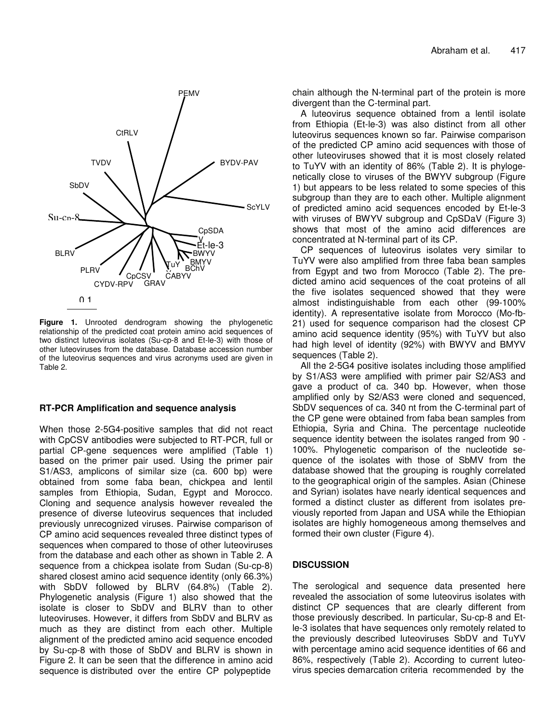

**Figure 1.** Unrooted dendrogram showing the phylogenetic relationship of the predicted coat protein amino acid sequences of two distinct luteovirus isolates (Su-cp-8 and Et-le-3) with those of other luteoviruses from the database. Database accession number of the luteovirus sequences and virus acronyms used are given in Table 2.

## **RT-PCR Amplification and sequence analysis**

When those 2-5G4-positive samples that did not react with CpCSV antibodies were subjected to RT-PCR, full or partial CP-gene sequences were amplified (Table 1) based on the primer pair used. Using the primer pair S1/AS3, amplicons of similar size (ca. 600 bp) were obtained from some faba bean, chickpea and lentil samples from Ethiopia, Sudan, Egypt and Morocco. Cloning and sequence analysis however revealed the presence of diverse luteovirus sequences that included previously unrecognized viruses. Pairwise comparison of CP amino acid sequences revealed three distinct types of sequences when compared to those of other luteoviruses from the database and each other as shown in Table 2. A sequence from a chickpea isolate from Sudan (Su-cp-8) shared closest amino acid sequence identity (only 66.3%) with SbDV followed by BLRV (64.8%) (Table 2). Phylogenetic analysis (Figure 1) also showed that the isolate is closer to SbDV and BLRV than to other luteoviruses. However, it differs from SbDV and BLRV as much as they are distinct from each other. Multiple alignment of the predicted amino acid sequence encoded by Su-cp-8 with those of SbDV and BLRV is shown in Figure 2. It can be seen that the difference in amino acid sequence is distributed over the entire CP polypeptide

chain although the N-terminal part of the protein is more divergent than the C-terminal part.

A luteovirus sequence obtained from a lentil isolate from Ethiopia (Et-le-3) was also distinct from all other luteovirus sequences known so far. Pairwise comparison of the predicted CP amino acid sequences with those of other luteoviruses showed that it is most closely related to TuYV with an identity of 86% (Table 2). It is phylogenetically close to viruses of the BWYV subgroup (Figure 1) but appears to be less related to some species of this subgroup than they are to each other. Multiple alignment of predicted amino acid sequences encoded by Et-le-3 with viruses of BWYV subgroup and CpSDaV (Figure 3) shows that most of the amino acid differences are concentrated at N-terminal part of its CP.

CP sequences of luteovirus isolates very similar to TuYV were also amplified from three faba bean samples from Egypt and two from Morocco (Table 2). The predicted amino acid sequences of the coat proteins of all the five isolates sequenced showed that they were almost indistinguishable from each other (99-100% identity). A representative isolate from Morocco (Mo-fb-21) used for sequence comparison had the closest CP amino acid sequence identity (95%) with TuYV but also had high level of identity (92%) with BWYV and BMYV sequences (Table 2).

All the 2-5G4 positive isolates including those amplified by S1/AS3 were amplified with primer pair S2/AS3 and gave a product of ca. 340 bp. However, when those amplified only by S2/AS3 were cloned and sequenced, SbDV sequences of ca. 340 nt from the C-terminal part of the CP gene were obtained from faba bean samples from Ethiopia, Syria and China. The percentage nucleotide sequence identity between the isolates ranged from 90 - 100%. Phylogenetic comparison of the nucleotide sequence of the isolates with those of SbMV from the database showed that the grouping is roughly correlated to the geographical origin of the samples. Asian (Chinese and Syrian) isolates have nearly identical sequences and formed a distinct cluster as different from isolates previously reported from Japan and USA while the Ethiopian isolates are highly homogeneous among themselves and formed their own cluster (Figure 4).

## **DISCUSSION**

The serological and sequence data presented here revealed the association of some luteovirus isolates with distinct CP sequences that are clearly different from those previously described. In particular, Su-cp-8 and Etle-3 isolates that have sequences only remotely related to the previously described luteoviruses SbDV and TuYV with percentage amino acid sequence identities of 66 and 86%, respectively (Table 2). According to current luteovirus species demarcation criteria recommended by the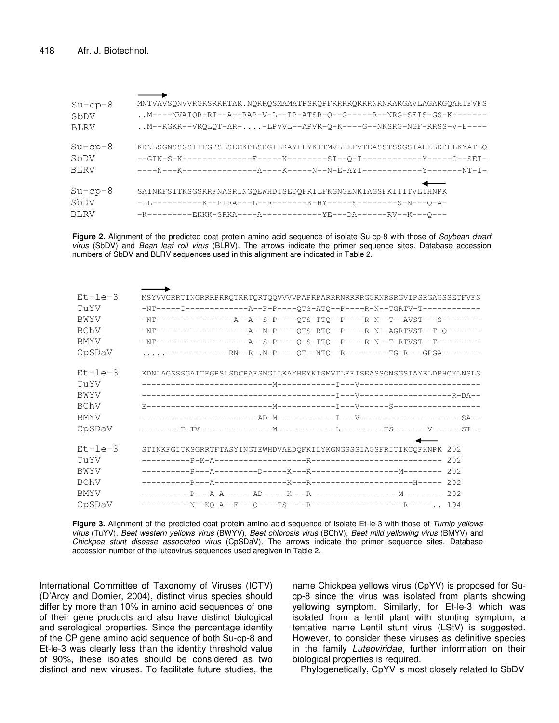| $Su$ -cp-8  | MNTVAVSONVVRGRSRRRTAR.NORROSMAMATPSROPFRRRRORRRNRNRARGAVLAGARGOAHTFVFS        |
|-------------|-------------------------------------------------------------------------------|
| SbDV        | $\ldots$ M----NVAIQR-RT--A--RAP-V-L--IP-ATSR-Q--G-----R--NRG-SFIS-GS-K------- |
| <b>BLRV</b> | M--RGKR--VRQLQT-AR--LPVVL--APVR-Q-K----G--NKSRG-NGF-RRSS-V-E----              |
| $Su$ -cp-8  | KDNLSGNSSGSITFGPSLSECKPLSDGILRAYHEYKITMVLLEFVTEASSTSSGSIAFELDPHLKYATLO        |
| SbDV        | --GIN-S-K---------------F-------K---------SI--0-I---------------Y-----C--SEI- |
| BLRV        |                                                                               |
| $Su$ -cp-8  | SAINKFSITKSGSRRFNASRINGQEWHDTSEDQFRILFKGNGENKIAGSFKITITVLTHNPK                |
| SbDV        | -LL-----------K--PTRA---L--R--------K-HY-----S-------S-N---O-A-               |
| BLRV        | -K---------EKKK-SRKA----A------------YE---DA------RV--K---O---                |

**Figure 2.** Alignment of the predicted coat protein amino acid sequence of isolate Su-cp-8 with those of *Soybean dwarf virus* (SbDV) and *Bean leaf roll virus* (BLRV). The arrows indicate the primer sequence sites. Database accession numbers of SbDV and BLRV sequences used in this alignment are indicated in Table 2.

| $Et-1e-3$   | MSYVVGRRTINGRRRPRRQTRRTQRTQQVVVVPAPRPARRRNRRRRGGRNRSRGVIPSRGAGSSETFVFS |  |  |  |  |  |
|-------------|------------------------------------------------------------------------|--|--|--|--|--|
| TuYV        |                                                                        |  |  |  |  |  |
| BWYV        |                                                                        |  |  |  |  |  |
| BChV        |                                                                        |  |  |  |  |  |
| BMYV        |                                                                        |  |  |  |  |  |
| CpSDaV      | ---------------RN--R-.N-P----QT--NTQ--R---------TG-R---GPGA--------    |  |  |  |  |  |
| $Et-1e-3$   | KDNLAGSSSGAITFGPSLSDCPAFSNGILKAYHEYKISMVTLEFISEASSQNSGSIAYELDPHCKLNSLS |  |  |  |  |  |
| TuYV        |                                                                        |  |  |  |  |  |
| BWYV        |                                                                        |  |  |  |  |  |
| BChV        |                                                                        |  |  |  |  |  |
| <b>BMYV</b> |                                                                        |  |  |  |  |  |
| CpSDaV      |                                                                        |  |  |  |  |  |
| $Et-1e-3$   | STINKFGITKSGRRTFTASYINGTEWHDVAEDQFKILYKGNGSSSIAGSFRITIKCQFHNPK 202     |  |  |  |  |  |
| TuYV        |                                                                        |  |  |  |  |  |
| <b>BWYV</b> |                                                                        |  |  |  |  |  |
| BChV        |                                                                        |  |  |  |  |  |
| <b>BMYV</b> |                                                                        |  |  |  |  |  |
| CpSDaV      |                                                                        |  |  |  |  |  |

**Figure 3.** Alignment of the predicted coat protein amino acid sequence of isolate Et-le-3 with those of *Turnip yellows virus* (TuYV), *Beet western yellows virus* (BWYV), *Beet chlorosis virus* (BChV), *Beet mild yellowing virus* (BMYV) and *Chickpea stunt disease associated virus* (CpSDaV). The arrows indicate the primer sequence sites. Database accession number of the luteovirus sequences used aregiven in Table 2.

International Committee of Taxonomy of Viruses (ICTV) (D'Arcy and Domier, 2004), distinct virus species should differ by more than 10% in amino acid sequences of one of their gene products and also have distinct biological and serological properties. Since the percentage identity of the CP gene amino acid sequence of both Su-cp-8 and Et-le-3 was clearly less than the identity threshold value of 90%, these isolates should be considered as two distinct and new viruses. To facilitate future studies, the

name Chickpea yellows virus (CpYV) is proposed for Sucp-8 since the virus was isolated from plants showing yellowing symptom. Similarly, for Et-le-3 which was isolated from a lentil plant with stunting symptom, a tentative name Lentil stunt virus (LStV) is suggested. However, to consider these viruses as definitive species in the family *Luteoviridae*, further information on their biological properties is required.

Phylogenetically, CpYV is most closely related to SbDV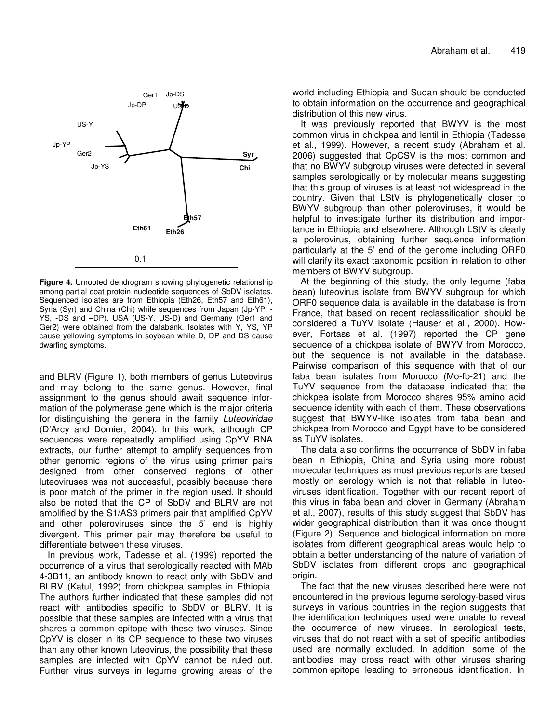

**Figure 4.** Unrooted dendrogram showing phylogenetic relationship among partial coat protein nucleotide sequences of SbDV isolates. Sequenced isolates are from Ethiopia (Eth26, Eth57 and Eth61), Syria (Syr) and China (Chi) while sequences from Japan (Jp-YP, - YS, -DS and –DP), USA (US-Y, US-D) and Germany (Ger1 and Ger2) were obtained from the databank. Isolates with Y, YS, YP cause yellowing symptoms in soybean while D, DP and DS cause dwarfing symptoms.

and BLRV (Figure 1), both members of genus Luteovirus and may belong to the same genus. However, final assignment to the genus should await sequence information of the polymerase gene which is the major criteria for distinguishing the genera in the family *Luteoviridae* (D'Arcy and Domier, 2004). In this work, although CP sequences were repeatedly amplified using CpYV RNA extracts, our further attempt to amplify sequences from other genomic regions of the virus using primer pairs designed from other conserved regions of other luteoviruses was not successful, possibly because there is poor match of the primer in the region used. It should also be noted that the CP of SbDV and BLRV are not amplified by the S1/AS3 primers pair that amplified CpYV and other poleroviruses since the 5' end is highly divergent. This primer pair may therefore be useful to differentiate between these viruses.

In previous work, Tadesse et al. (1999) reported the occurrence of a virus that serologically reacted with MAb 4-3B11, an antibody known to react only with SbDV and BLRV (Katul, 1992) from chickpea samples in Ethiopia. The authors further indicated that these samples did not react with antibodies specific to SbDV or BLRV. It is possible that these samples are infected with a virus that shares a common epitope with these two viruses. Since CpYV is closer in its CP sequence to these two viruses than any other known luteovirus, the possibility that these samples are infected with CpYV cannot be ruled out. Further virus surveys in legume growing areas of the world including Ethiopia and Sudan should be conducted to obtain information on the occurrence and geographical distribution of this new virus.

It was previously reported that BWYV is the most common virus in chickpea and lentil in Ethiopia (Tadesse et al., 1999). However, a recent study (Abraham et al. 2006) suggested that CpCSV is the most common and that no BWYV subgroup viruses were detected in several samples serologically or by molecular means suggesting that this group of viruses is at least not widespread in the country. Given that LStV is phylogenetically closer to BWYV subgroup than other poleroviruses, it would be helpful to investigate further its distribution and importance in Ethiopia and elsewhere. Although LStV is clearly a polerovirus, obtaining further sequence information particularly at the 5' end of the genome including ORF0 will clarify its exact taxonomic position in relation to other members of BWYV subgroup.

At the beginning of this study, the only legume (faba bean) luteovirus isolate from BWYV subgroup for which ORF0 sequence data is available in the database is from France, that based on recent reclassification should be considered a TuYV isolate (Hauser et al., 2000). However, Fortass et al. (1997) reported the CP gene sequence of a chickpea isolate of BWYV from Morocco, but the sequence is not available in the database. Pairwise comparison of this sequence with that of our faba bean isolates from Morocco (Mo-fb-21) and the TuYV sequence from the database indicated that the chickpea isolate from Morocco shares 95% amino acid sequence identity with each of them. These observations suggest that BWYV-like isolates from faba bean and chickpea from Morocco and Egypt have to be considered as TuYV isolates.

The data also confirms the occurrence of SbDV in faba bean in Ethiopia, China and Syria using more robust molecular techniques as most previous reports are based mostly on serology which is not that reliable in luteoviruses identification. Together with our recent report of this virus in faba bean and clover in Germany (Abraham et al., 2007), results of this study suggest that SbDV has wider geographical distribution than it was once thought (Figure 2). Sequence and biological information on more isolates from different geographical areas would help to obtain a better understanding of the nature of variation of SbDV isolates from different crops and geographical origin.

The fact that the new viruses described here were not encountered in the previous legume serology-based virus surveys in various countries in the region suggests that the identification techniques used were unable to reveal the occurrence of new viruses. In serological tests, viruses that do not react with a set of specific antibodies used are normally excluded. In addition, some of the antibodies may cross react with other viruses sharing common epitope leading to erroneous identification. In